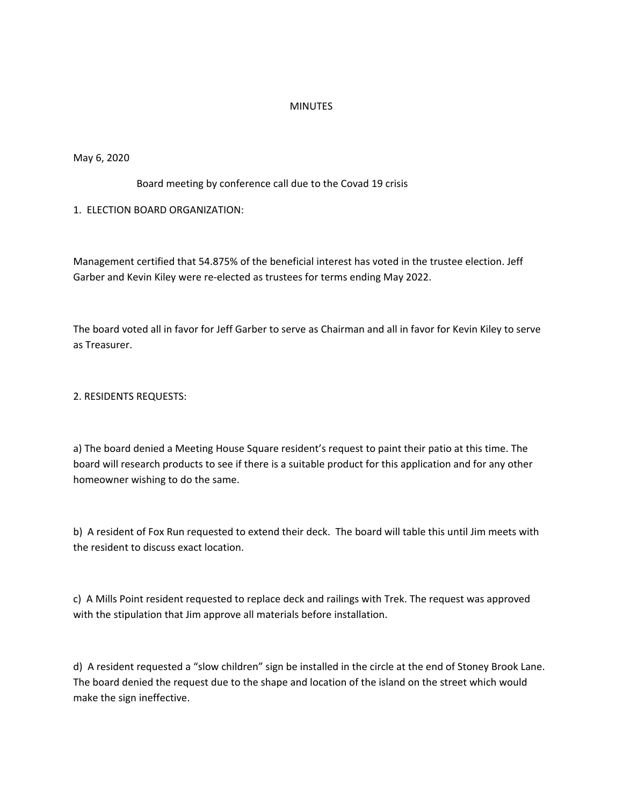## MINUTES

May 6, 2020

Board meeting by conference call due to the Covad 19 crisis

1. ELECTION BOARD ORGANIZATION:

Management certified that 54.875% of the beneficial interest has voted in the trustee election. Jeff Garber and Kevin Kiley were re‐elected as trustees for terms ending May 2022.

The board voted all in favor for Jeff Garber to serve as Chairman and all in favor for Kevin Kiley to serve as Treasurer.

2. RESIDENTS REQUESTS:

a) The board denied a Meeting House Square resident's request to paint their patio at this time. The board will research products to see if there is a suitable product for this application and for any other homeowner wishing to do the same.

b) A resident of Fox Run requested to extend their deck. The board will table this until Jim meets with the resident to discuss exact location.

c) A Mills Point resident requested to replace deck and railings with Trek. The request was approved with the stipulation that Jim approve all materials before installation.

d) A resident requested a "slow children" sign be installed in the circle at the end of Stoney Brook Lane. The board denied the request due to the shape and location of the island on the street which would make the sign ineffective.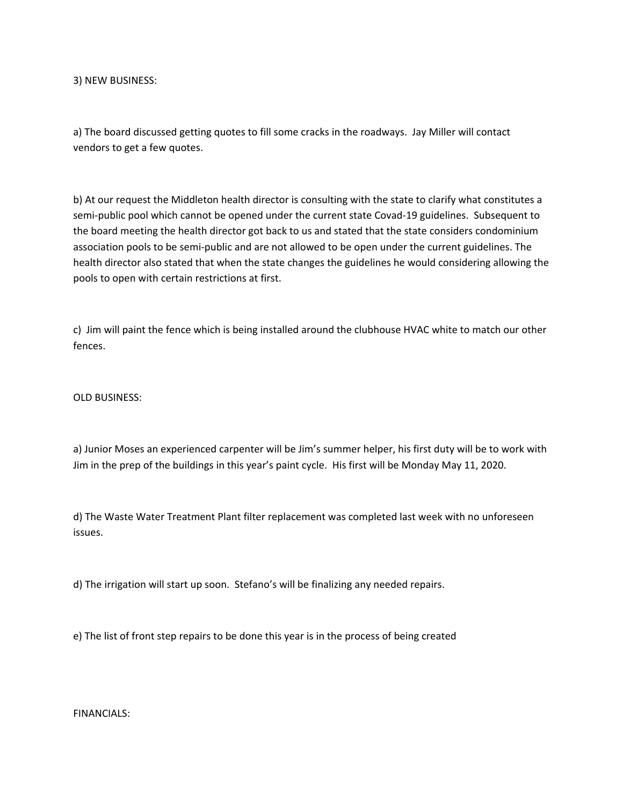3) NEW BUSINESS:

a) The board discussed getting quotes to fill some cracks in the roadways. Jay Miller will contact vendors to get a few quotes.

b) At our request the Middleton health director is consulting with the state to clarify what constitutes a semi-public pool which cannot be opened under the current state Covad-19 guidelines. Subsequent to the board meeting the health director got back to us and stated that the state considers condominium association pools to be semi‐public and are not allowed to be open under the current guidelines. The health director also stated that when the state changes the guidelines he would considering allowing the pools to open with certain restrictions at first.

c) Jim will paint the fence which is being installed around the clubhouse HVAC white to match our other fences.

OLD BUSINESS:

a) Junior Moses an experienced carpenter will be Jim's summer helper, his first duty will be to work with Jim in the prep of the buildings in this year's paint cycle. His first will be Monday May 11, 2020.

d) The Waste Water Treatment Plant filter replacement was completed last week with no unforeseen issues.

d) The irrigation will start up soon. Stefano's will be finalizing any needed repairs.

e) The list of front step repairs to be done this year is in the process of being created

FINANCIALS: